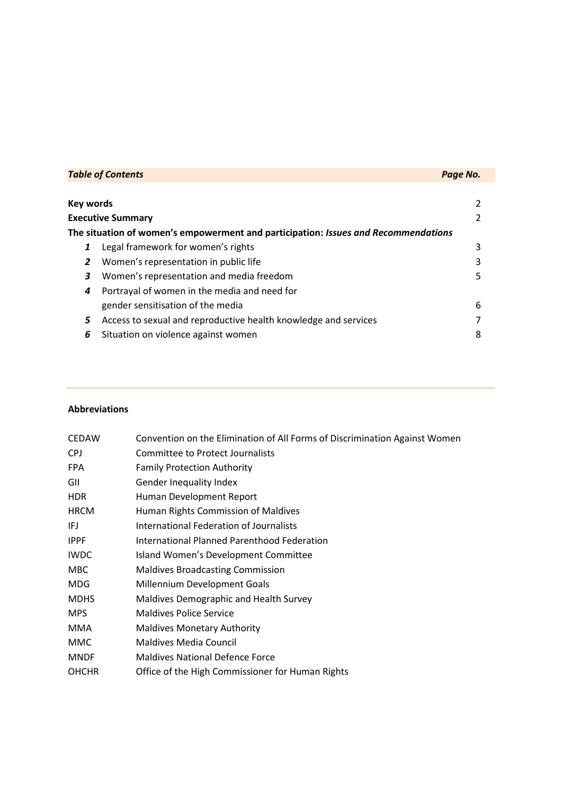| <b>Table of Contents</b> |                                                                                    | Page No. |
|--------------------------|------------------------------------------------------------------------------------|----------|
|                          |                                                                                    |          |
| <b>Key words</b>         |                                                                                    |          |
| <b>Executive Summary</b> |                                                                                    |          |
|                          | The situation of women's empowerment and participation: Issues and Recommendations |          |
| 1                        | Legal framework for women's rights                                                 | 3        |
| 2                        | Women's representation in public life                                              |          |
| 3                        | Women's representation and media freedom                                           | 5        |
| 4                        | Portrayal of women in the media and need for                                       |          |
|                          | gender sensitisation of the media                                                  | 6        |
| 5                        | Access to sexual and reproductive health knowledge and services                    |          |
| 6                        | Situation on violence against women                                                | 8        |

# **Abbreviations**

| <b>CEDAW</b> | Convention on the Elimination of All Forms of Discrimination Against Women |
|--------------|----------------------------------------------------------------------------|
| <b>CPJ</b>   | Committee to Protect Journalists                                           |
| <b>FPA</b>   | <b>Family Protection Authority</b>                                         |
| GII          | <b>Gender Inequality Index</b>                                             |
| <b>HDR</b>   | Human Development Report                                                   |
| <b>HRCM</b>  | Human Rights Commission of Maldives                                        |
| IFJ          | International Federation of Journalists                                    |
| <b>IPPF</b>  | International Planned Parenthood Federation                                |
| <b>IWDC</b>  | Island Women's Development Committee                                       |
| <b>MBC</b>   | <b>Maldives Broadcasting Commission</b>                                    |
| <b>MDG</b>   | Millennium Development Goals                                               |
| <b>MDHS</b>  | Maldives Demographic and Health Survey                                     |
| <b>MPS</b>   | <b>Maldives Police Service</b>                                             |
| <b>MMA</b>   | <b>Maldives Monetary Authority</b>                                         |
| MMC          | <b>Maldives Media Council</b>                                              |
| <b>MNDF</b>  | <b>Maldives National Defence Force</b>                                     |
| <b>OHCHR</b> | Office of the High Commissioner for Human Rights                           |
|              |                                                                            |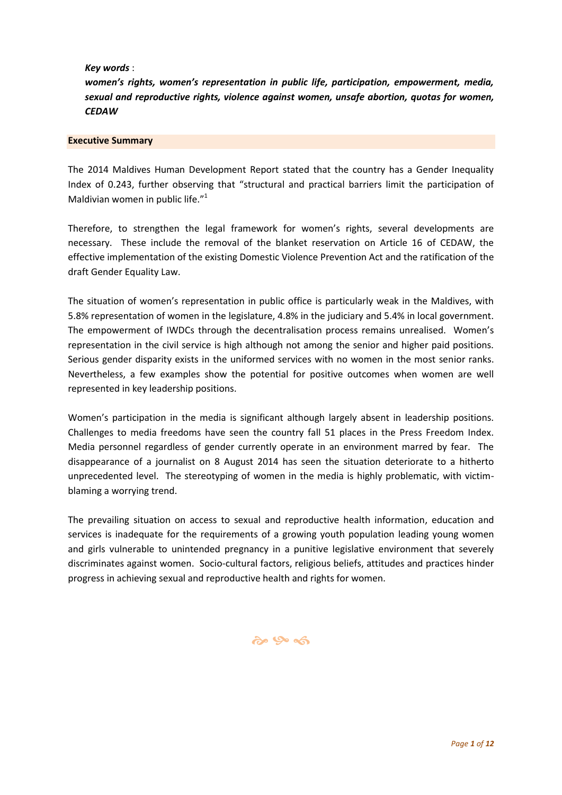*Key words* :

*women's rights, women's representation in public life, participation, empowerment, media, sexual and reproductive rights, violence against women, unsafe abortion, quotas for women, CEDAW*

#### **Executive Summary**

The 2014 Maldives Human Development Report stated that the country has a Gender Inequality Index of 0.243, further observing that "structural and practical barriers limit the participation of Maldivian women in public life."<sup>1</sup>

Therefore, to strengthen the legal framework for women's rights, several developments are necessary. These include the removal of the blanket reservation on Article 16 of CEDAW, the effective implementation of the existing Domestic Violence Prevention Act and the ratification of the draft Gender Equality Law.

The situation of women's representation in public office is particularly weak in the Maldives, with 5.8% representation of women in the legislature, 4.8% in the judiciary and 5.4% in local government. The empowerment of IWDCs through the decentralisation process remains unrealised. Women's representation in the civil service is high although not among the senior and higher paid positions. Serious gender disparity exists in the uniformed services with no women in the most senior ranks. Nevertheless, a few examples show the potential for positive outcomes when women are well represented in key leadership positions.

Women's participation in the media is significant although largely absent in leadership positions. Challenges to media freedoms have seen the country fall 51 places in the Press Freedom Index. Media personnel regardless of gender currently operate in an environment marred by fear. The disappearance of a journalist on 8 August 2014 has seen the situation deteriorate to a hitherto unprecedented level. The stereotyping of women in the media is highly problematic, with victimblaming a worrying trend.

The prevailing situation on access to sexual and reproductive health information, education and services is inadequate for the requirements of a growing youth population leading young women and girls vulnerable to unintended pregnancy in a punitive legislative environment that severely discriminates against women. Socio-cultural factors, religious beliefs, attitudes and practices hinder progress in achieving sexual and reproductive health and rights for women.

# $\omega$   $\infty$   $\infty$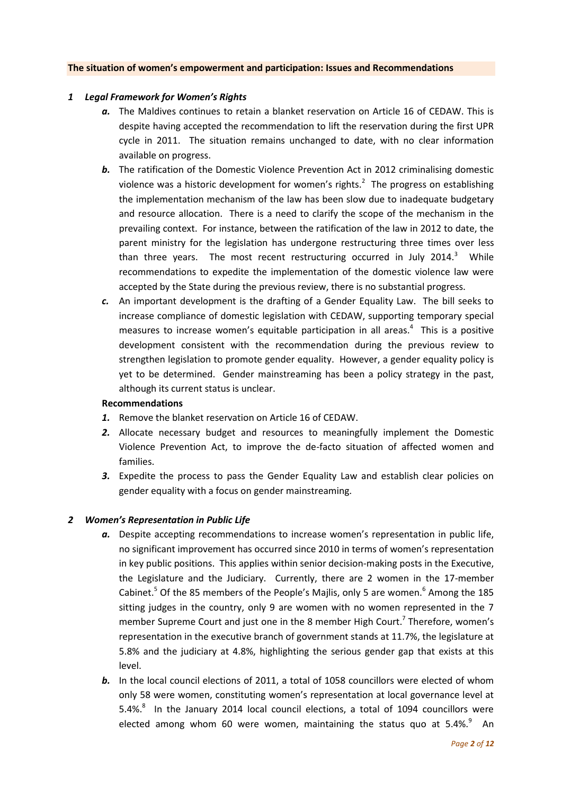#### **The situation of women's empowerment and participation: Issues and Recommendations**

### *1 Legal Framework for Women's Rights*

- *a.* The Maldives continues to retain a blanket reservation on Article 16 of CEDAW. This is despite having accepted the recommendation to lift the reservation during the first UPR cycle in 2011. The situation remains unchanged to date, with no clear information available on progress.
- **b.** The ratification of the Domestic Violence Prevention Act in 2012 criminalising domestic violence was a historic development for women's rights. $2$  The progress on establishing the implementation mechanism of the law has been slow due to inadequate budgetary and resource allocation. There is a need to clarify the scope of the mechanism in the prevailing context. For instance, between the ratification of the law in 2012 to date, the parent ministry for the legislation has undergone restructuring three times over less than three years. The most recent restructuring occurred in July 2014.<sup>3</sup> While recommendations to expedite the implementation of the domestic violence law were accepted by the State during the previous review, there is no substantial progress.
- *c.* An important development is the drafting of a Gender Equality Law. The bill seeks to increase compliance of domestic legislation with CEDAW, supporting temporary special measures to increase women's equitable participation in all areas. $4$  This is a positive development consistent with the recommendation during the previous review to strengthen legislation to promote gender equality. However, a gender equality policy is yet to be determined. Gender mainstreaming has been a policy strategy in the past, although its current status is unclear.

#### **Recommendations**

- *1.* Remove the blanket reservation on Article 16 of CEDAW.
- *2.* Allocate necessary budget and resources to meaningfully implement the Domestic Violence Prevention Act, to improve the de-facto situation of affected women and families.
- *3.* Expedite the process to pass the Gender Equality Law and establish clear policies on gender equality with a focus on gender mainstreaming.

#### *2 Women's Representation in Public Life*

- *a.* Despite accepting recommendations to increase women's representation in public life, no significant improvement has occurred since 2010 in terms of women's representation in key public positions. This applies within senior decision-making posts in the Executive, the Legislature and the Judiciary. Currently, there are 2 women in the 17-member Cabinet.<sup>5</sup> Of the 85 members of the People's Majlis, only 5 are women.<sup>6</sup> Among the 185 sitting judges in the country, only 9 are women with no women represented in the 7 member Supreme Court and just one in the 8 member High Court.<sup>7</sup> Therefore, women's representation in the executive branch of government stands at 11.7%, the legislature at 5.8% and the judiciary at 4.8%, highlighting the serious gender gap that exists at this level.
- **b.** In the local council elections of 2011, a total of 1058 councillors were elected of whom only 58 were women, constituting women's representation at local governance level at 5.4%. $8$  In the January 2014 local council elections, a total of 1094 councillors were elected among whom 60 were women, maintaining the status quo at 5.4%. $9$  An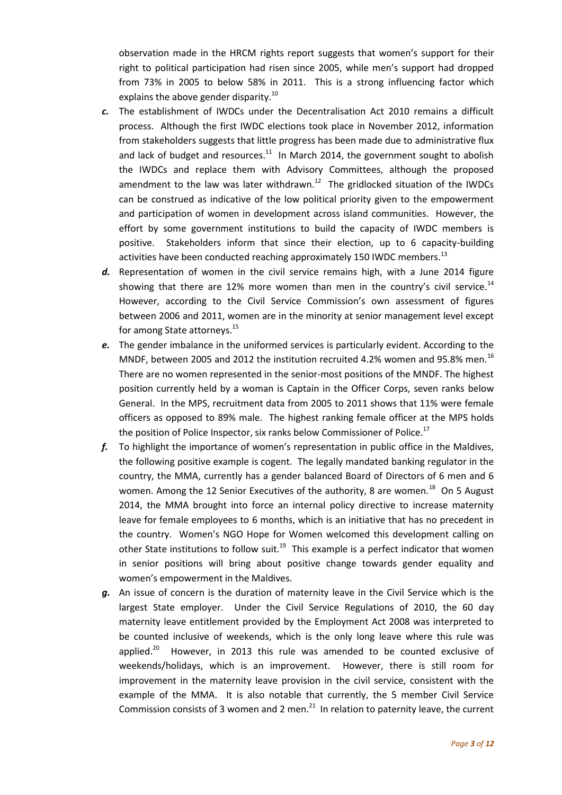observation made in the HRCM rights report suggests that women's support for their right to political participation had risen since 2005, while men's support had dropped from 73% in 2005 to below 58% in 2011. This is a strong influencing factor which explains the above gender disparity.<sup>10</sup>

- *c.* The establishment of IWDCs under the Decentralisation Act 2010 remains a difficult process. Although the first IWDC elections took place in November 2012, information from stakeholders suggests that little progress has been made due to administrative flux and lack of budget and resources. $11$  In March 2014, the government sought to abolish the IWDCs and replace them with Advisory Committees, although the proposed amendment to the law was later withdrawn. $12$  The gridlocked situation of the IWDCs can be construed as indicative of the low political priority given to the empowerment and participation of women in development across island communities. However, the effort by some government institutions to build the capacity of IWDC members is positive. Stakeholders inform that since their election, up to 6 capacity-building activities have been conducted reaching approximately 150 IWDC members.<sup>13</sup>
- *d.* Representation of women in the civil service remains high, with a June 2014 figure showing that there are 12% more women than men in the country's civil service.<sup>14</sup> However, according to the Civil Service Commission's own assessment of figures between 2006 and 2011, women are in the minority at senior management level except for among State attorneys.<sup>15</sup>
- *e.* The gender imbalance in the uniformed services is particularly evident. According to the MNDF, between 2005 and 2012 the institution recruited 4.2% women and 95.8% men.<sup>16</sup> There are no women represented in the senior-most positions of the MNDF. The highest position currently held by a woman is Captain in the Officer Corps, seven ranks below General. In the MPS, recruitment data from 2005 to 2011 shows that 11% were female officers as opposed to 89% male. The highest ranking female officer at the MPS holds the position of Police Inspector, six ranks below Commissioner of Police.<sup>17</sup>
- *f.* To highlight the importance of women's representation in public office in the Maldives, the following positive example is cogent. The legally mandated banking regulator in the country, the MMA, currently has a gender balanced Board of Directors of 6 men and 6 women. Among the 12 Senior Executives of the authority, 8 are women. $^{18}$  On 5 August 2014, the MMA brought into force an internal policy directive to increase maternity leave for female employees to 6 months, which is an initiative that has no precedent in the country. Women's NGO Hope for Women welcomed this development calling on other State institutions to follow suit.<sup>19</sup> This example is a perfect indicator that women in senior positions will bring about positive change towards gender equality and women's empowerment in the Maldives.
- *g.* An issue of concern is the duration of maternity leave in the Civil Service which is the largest State employer. Under the Civil Service Regulations of 2010, the 60 day maternity leave entitlement provided by the Employment Act 2008 was interpreted to be counted inclusive of weekends, which is the only long leave where this rule was applied. $20$  However, in 2013 this rule was amended to be counted exclusive of weekends/holidays, which is an improvement. However, there is still room for improvement in the maternity leave provision in the civil service, consistent with the example of the MMA. It is also notable that currently, the 5 member Civil Service Commission consists of 3 women and 2 men. $^{21}$  In relation to paternity leave, the current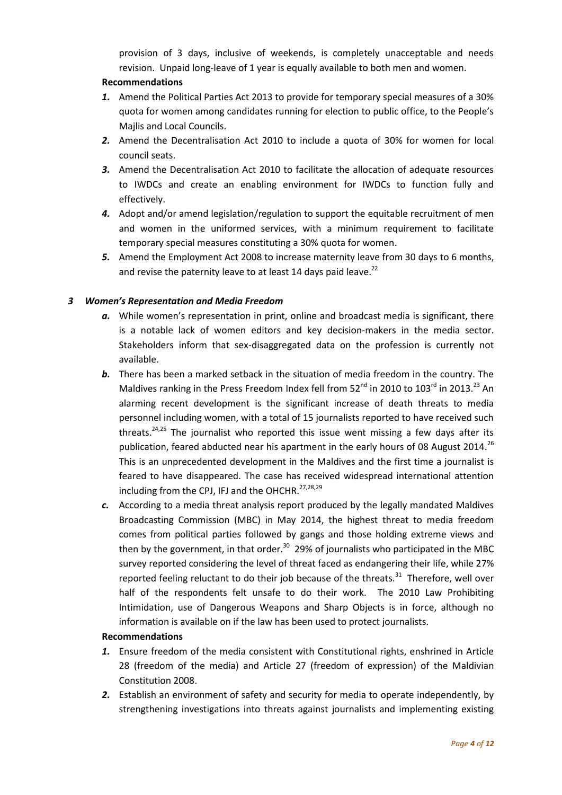provision of 3 days, inclusive of weekends, is completely unacceptable and needs revision. Unpaid long-leave of 1 year is equally available to both men and women.

# **Recommendations**

- *1.* Amend the Political Parties Act 2013 to provide for temporary special measures of a 30% quota for women among candidates running for election to public office, to the People's Majlis and Local Councils.
- *2.* Amend the Decentralisation Act 2010 to include a quota of 30% for women for local council seats.
- *3.* Amend the Decentralisation Act 2010 to facilitate the allocation of adequate resources to IWDCs and create an enabling environment for IWDCs to function fully and effectively.
- *4.* Adopt and/or amend legislation/regulation to support the equitable recruitment of men and women in the uniformed services, with a minimum requirement to facilitate temporary special measures constituting a 30% quota for women.
- *5.* Amend the Employment Act 2008 to increase maternity leave from 30 days to 6 months, and revise the paternity leave to at least 14 days paid leave.<sup>22</sup>

# *3 Women's Representation and Media Freedom*

- *a.* While women's representation in print, online and broadcast media is significant, there is a notable lack of women editors and key decision-makers in the media sector. Stakeholders inform that sex-disaggregated data on the profession is currently not available.
- *b.* There has been a marked setback in the situation of media freedom in the country. The Maldives ranking in the Press Freedom Index fell from 52<sup>nd</sup> in 2010 to 103<sup>rd</sup> in 2013.<sup>23</sup> An alarming recent development is the significant increase of death threats to media personnel including women, with a total of 15 journalists reported to have received such threats. $24,25$  The journalist who reported this issue went missing a few days after its publication, feared abducted near his apartment in the early hours of 08 August 2014.<sup>26</sup> This is an unprecedented development in the Maldives and the first time a journalist is feared to have disappeared. The case has received widespread international attention including from the CPJ, IFJ and the OHCHR.<sup>27,28,29</sup>
- *c.* According to a media threat analysis report produced by the legally mandated Maldives Broadcasting Commission (MBC) in May 2014, the highest threat to media freedom comes from political parties followed by gangs and those holding extreme views and then by the government, in that order.<sup>30</sup> 29% of journalists who participated in the MBC survey reported considering the level of threat faced as endangering their life, while 27% reported feeling reluctant to do their job because of the threats.<sup>31</sup> Therefore, well over half of the respondents felt unsafe to do their work. The 2010 Law Prohibiting Intimidation, use of Dangerous Weapons and Sharp Objects is in force, although no information is available on if the law has been used to protect journalists.

### **Recommendations**

- *1.* Ensure freedom of the media consistent with Constitutional rights, enshrined in Article 28 (freedom of the media) and Article 27 (freedom of expression) of the Maldivian Constitution 2008.
- *2.* Establish an environment of safety and security for media to operate independently, by strengthening investigations into threats against journalists and implementing existing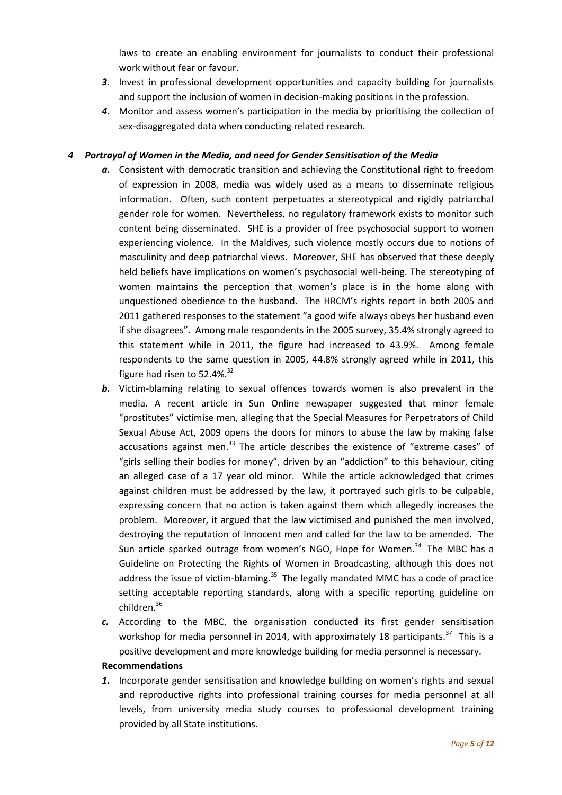laws to create an enabling environment for journalists to conduct their professional work without fear or favour.

- **3.** Invest in professional development opportunities and capacity building for journalists and support the inclusion of women in decision-making positions in the profession.
- *4.* Monitor and assess women's participation in the media by prioritising the collection of sex-disaggregated data when conducting related research.

# *4 Portrayal of Women in the Media, and need for Gender Sensitisation of the Media*

- *a.* Consistent with democratic transition and achieving the Constitutional right to freedom of expression in 2008, media was widely used as a means to disseminate religious information. Often, such content perpetuates a stereotypical and rigidly patriarchal gender role for women. Nevertheless, no regulatory framework exists to monitor such content being disseminated. SHE is a provider of free psychosocial support to women experiencing violence. In the Maldives, such violence mostly occurs due to notions of masculinity and deep patriarchal views. Moreover, SHE has observed that these deeply held beliefs have implications on women's psychosocial well-being. The stereotyping of women maintains the perception that women's place is in the home along with unquestioned obedience to the husband. The HRCM's rights report in both 2005 and 2011 gathered responses to the statement "a good wife always obeys her husband even if she disagrees". Among male respondents in the 2005 survey, 35.4% strongly agreed to this statement while in 2011, the figure had increased to 43.9%. Among female respondents to the same question in 2005, 44.8% strongly agreed while in 2011, this figure had risen to  $52.4\%$ .  $32$
- *b.* Victim-blaming relating to sexual offences towards women is also prevalent in the media. A recent article in Sun Online newspaper suggested that minor female "prostitutes" victimise men, alleging that the Special Measures for Perpetrators of Child Sexual Abuse Act, 2009 opens the doors for minors to abuse the law by making false accusations against men. $^{33}$  The article describes the existence of "extreme cases" of "girls selling their bodies for money", driven by an "addiction" to this behaviour, citing an alleged case of a 17 year old minor. While the article acknowledged that crimes against children must be addressed by the law, it portrayed such girls to be culpable, expressing concern that no action is taken against them which allegedly increases the problem. Moreover, it argued that the law victimised and punished the men involved, destroying the reputation of innocent men and called for the law to be amended. The Sun article sparked outrage from women's NGO, Hope for Women.<sup>34</sup> The MBC has a Guideline on Protecting the Rights of Women in Broadcasting, although this does not address the issue of victim-blaming.<sup>35</sup> The legally mandated MMC has a code of practice setting acceptable reporting standards, along with a specific reporting guideline on children.<sup>36</sup>
- *c.* According to the MBC, the organisation conducted its first gender sensitisation workshop for media personnel in 2014, with approximately 18 participants.<sup>37</sup> This is a positive development and more knowledge building for media personnel is necessary.

### **Recommendations**

*1.* Incorporate gender sensitisation and knowledge building on women's rights and sexual and reproductive rights into professional training courses for media personnel at all levels, from university media study courses to professional development training provided by all State institutions.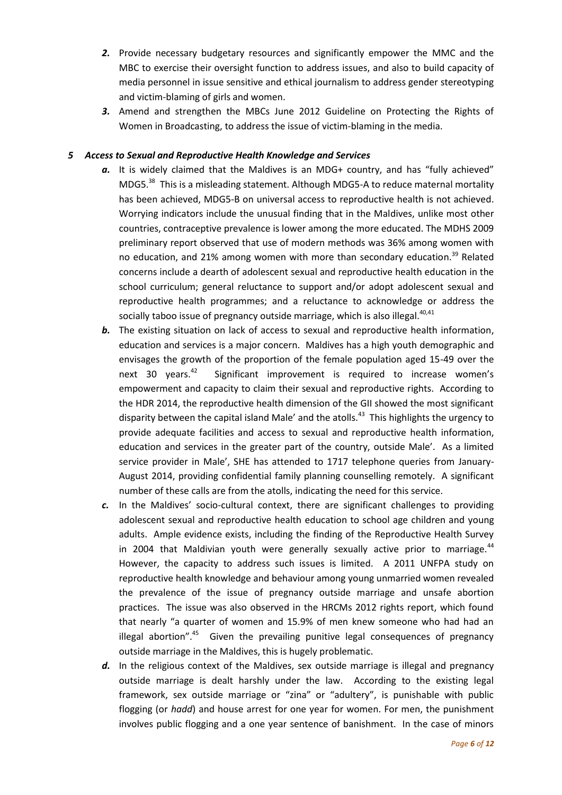- *2.* Provide necessary budgetary resources and significantly empower the MMC and the MBC to exercise their oversight function to address issues, and also to build capacity of media personnel in issue sensitive and ethical journalism to address gender stereotyping and victim-blaming of girls and women.
- *3.* Amend and strengthen the MBCs June 2012 Guideline on Protecting the Rights of Women in Broadcasting, to address the issue of victim-blaming in the media.

## *5 Access to Sexual and Reproductive Health Knowledge and Services*

- a. It is widely claimed that the Maldives is an MDG+ country, and has "fully achieved" MDG5.<sup>38</sup> This is a misleading statement. Although MDG5-A to reduce maternal mortality has been achieved, MDG5-B on universal access to reproductive health is not achieved. Worrying indicators include the unusual finding that in the Maldives, unlike most other countries, contraceptive prevalence is lower among the more educated. The MDHS 2009 preliminary report observed that use of modern methods was 36% among women with no education, and 21% among women with more than secondary education.<sup>39</sup> Related concerns include a dearth of adolescent sexual and reproductive health education in the school curriculum; general reluctance to support and/or adopt adolescent sexual and reproductive health programmes; and a reluctance to acknowledge or address the socially taboo issue of pregnancy outside marriage, which is also illegal.<sup>40,41</sup>
- **b.** The existing situation on lack of access to sexual and reproductive health information, education and services is a major concern. Maldives has a high youth demographic and envisages the growth of the proportion of the female population aged 15-49 over the next  $30$  years.<sup>42</sup> Significant improvement is required to increase women's empowerment and capacity to claim their sexual and reproductive rights. According to the HDR 2014, the reproductive health dimension of the GII showed the most significant disparity between the capital island Male' and the atolls.<sup>43</sup> This highlights the urgency to provide adequate facilities and access to sexual and reproductive health information, education and services in the greater part of the country, outside Male'. As a limited service provider in Male', SHE has attended to 1717 telephone queries from January-August 2014, providing confidential family planning counselling remotely. A significant number of these calls are from the atolls, indicating the need for this service.
- *c.* In the Maldives' socio-cultural context, there are significant challenges to providing adolescent sexual and reproductive health education to school age children and young adults. Ample evidence exists, including the finding of the Reproductive Health Survey in 2004 that Maldivian youth were generally sexually active prior to marriage. $44$ However, the capacity to address such issues is limited. A 2011 UNFPA study on reproductive health knowledge and behaviour among young unmarried women revealed the prevalence of the issue of pregnancy outside marriage and unsafe abortion practices. The issue was also observed in the HRCMs 2012 rights report, which found that nearly "a quarter of women and 15.9% of men knew someone who had had an illegal abortion".<sup>45</sup> Given the prevailing punitive legal consequences of pregnancy outside marriage in the Maldives, this is hugely problematic.
- d. In the religious context of the Maldives, sex outside marriage is illegal and pregnancy outside marriage is dealt harshly under the law. According to the existing legal framework, sex outside marriage or "zina" or "adultery", is punishable with public flogging (or *hadd*) and house arrest for one year for women. For men, the punishment involves public flogging and a one year sentence of banishment. In the case of minors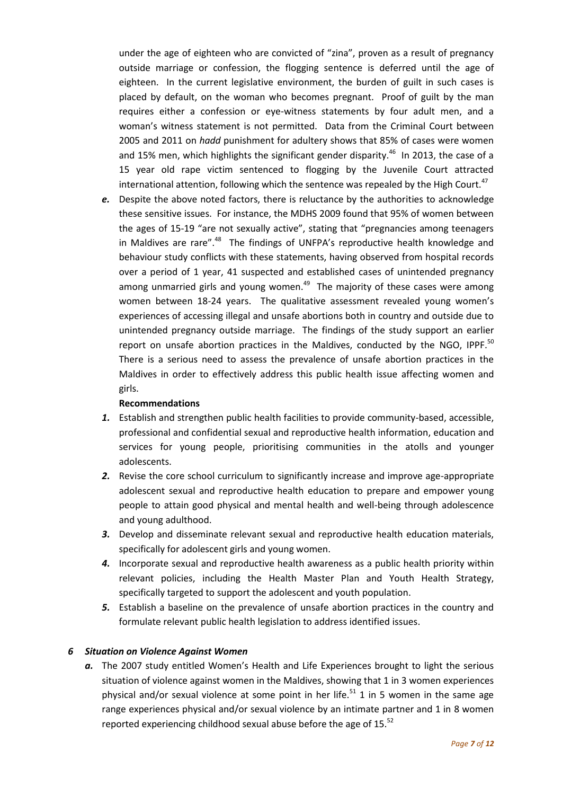under the age of eighteen who are convicted of "zina", proven as a result of pregnancy outside marriage or confession, the flogging sentence is deferred until the age of eighteen. In the current legislative environment, the burden of guilt in such cases is placed by default, on the woman who becomes pregnant. Proof of guilt by the man requires either a confession or eye-witness statements by four adult men, and a woman's witness statement is not permitted. Data from the Criminal Court between 2005 and 2011 on *hadd* punishment for adultery shows that 85% of cases were women and 15% men, which highlights the significant gender disparity. $46$  In 2013, the case of a 15 year old rape victim sentenced to flogging by the Juvenile Court attracted international attention, following which the sentence was repealed by the High Court. $47$ 

*e.* Despite the above noted factors, there is reluctance by the authorities to acknowledge these sensitive issues. For instance, the MDHS 2009 found that 95% of women between the ages of 15-19 "are not sexually active", stating that "pregnancies among teenagers in Maldives are rare".<sup>48</sup> The findings of UNFPA's reproductive health knowledge and behaviour study conflicts with these statements, having observed from hospital records over a period of 1 year, 41 suspected and established cases of unintended pregnancy among unmarried girls and young women.<sup>49</sup> The majority of these cases were among women between 18-24 years. The qualitative assessment revealed young women's experiences of accessing illegal and unsafe abortions both in country and outside due to unintended pregnancy outside marriage. The findings of the study support an earlier report on unsafe abortion practices in the Maldives, conducted by the NGO, IPPF. $^{50}$ There is a serious need to assess the prevalence of unsafe abortion practices in the Maldives in order to effectively address this public health issue affecting women and girls.

### **Recommendations**

- *1.* Establish and strengthen public health facilities to provide community-based, accessible, professional and confidential sexual and reproductive health information, education and services for young people, prioritising communities in the atolls and younger adolescents.
- **2.** Revise the core school curriculum to significantly increase and improve age-appropriate adolescent sexual and reproductive health education to prepare and empower young people to attain good physical and mental health and well-being through adolescence and young adulthood.
- *3.* Develop and disseminate relevant sexual and reproductive health education materials, specifically for adolescent girls and young women.
- *4.* Incorporate sexual and reproductive health awareness as a public health priority within relevant policies, including the Health Master Plan and Youth Health Strategy, specifically targeted to support the adolescent and youth population.
- *5.* Establish a baseline on the prevalence of unsafe abortion practices in the country and formulate relevant public health legislation to address identified issues.

### *6 Situation on Violence Against Women*

*a.* The 2007 study entitled Women's Health and Life Experiences brought to light the serious situation of violence against women in the Maldives, showing that 1 in 3 women experiences physical and/or sexual violence at some point in her life.<sup>51</sup> 1 in 5 women in the same age range experiences physical and/or sexual violence by an intimate partner and 1 in 8 women reported experiencing childhood sexual abuse before the age of 15. $52$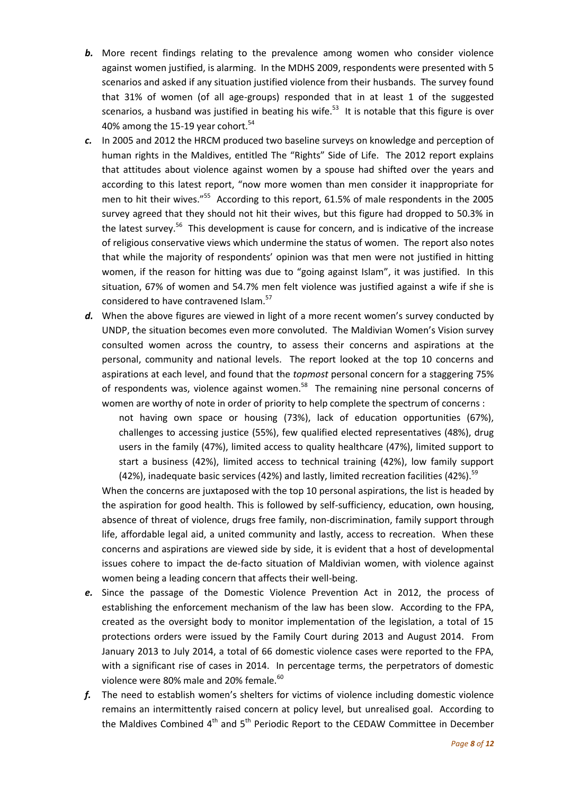- **b.** More recent findings relating to the prevalence among women who consider violence against women justified, is alarming. In the MDHS 2009, respondents were presented with 5 scenarios and asked if any situation justified violence from their husbands. The survey found that 31% of women (of all age-groups) responded that in at least 1 of the suggested scenarios, a husband was justified in beating his wife.<sup>53</sup> It is notable that this figure is over 40% among the 15-19 year cohort.<sup>54</sup>
- *c.* In 2005 and 2012 the HRCM produced two baseline surveys on knowledge and perception of human rights in the Maldives, entitled The "Rights" Side of Life. The 2012 report explains that attitudes about violence against women by a spouse had shifted over the years and according to this latest report, "now more women than men consider it inappropriate for men to hit their wives."<sup>55</sup> According to this report, 61.5% of male respondents in the 2005 survey agreed that they should not hit their wives, but this figure had dropped to 50.3% in the latest survey.<sup>56</sup> This development is cause for concern, and is indicative of the increase of religious conservative views which undermine the status of women. The report also notes that while the majority of respondents' opinion was that men were not justified in hitting women, if the reason for hitting was due to "going against Islam", it was justified. In this situation, 67% of women and 54.7% men felt violence was justified against a wife if she is considered to have contravened Islam.<sup>57</sup>
- d. When the above figures are viewed in light of a more recent women's survey conducted by UNDP, the situation becomes even more convoluted. The Maldivian Women's Vision survey consulted women across the country, to assess their concerns and aspirations at the personal, community and national levels. The report looked at the top 10 concerns and aspirations at each level, and found that the *topmost* personal concern for a staggering 75% of respondents was, violence against women.<sup>58</sup> The remaining nine personal concerns of women are worthy of note in order of priority to help complete the spectrum of concerns :

not having own space or housing (73%), lack of education opportunities (67%), challenges to accessing justice (55%), few qualified elected representatives (48%), drug users in the family (47%), limited access to quality healthcare (47%), limited support to start a business (42%), limited access to technical training (42%), low family support (42%), inadequate basic services (42%) and lastly, limited recreation facilities (42%).<sup>59</sup>

When the concerns are juxtaposed with the top 10 personal aspirations, the list is headed by the aspiration for good health. This is followed by self-sufficiency, education, own housing, absence of threat of violence, drugs free family, non-discrimination, family support through life, affordable legal aid, a united community and lastly, access to recreation. When these concerns and aspirations are viewed side by side, it is evident that a host of developmental issues cohere to impact the de-facto situation of Maldivian women, with violence against women being a leading concern that affects their well-being.

- *e.* Since the passage of the Domestic Violence Prevention Act in 2012, the process of establishing the enforcement mechanism of the law has been slow. According to the FPA, created as the oversight body to monitor implementation of the legislation, a total of 15 protections orders were issued by the Family Court during 2013 and August 2014. From January 2013 to July 2014, a total of 66 domestic violence cases were reported to the FPA, with a significant rise of cases in 2014. In percentage terms, the perpetrators of domestic violence were 80% male and 20% female.<sup>60</sup>
- *f.* The need to establish women's shelters for victims of violence including domestic violence remains an intermittently raised concern at policy level, but unrealised goal. According to the Maldives Combined  $4<sup>th</sup>$  and  $5<sup>th</sup>$  Periodic Report to the CEDAW Committee in December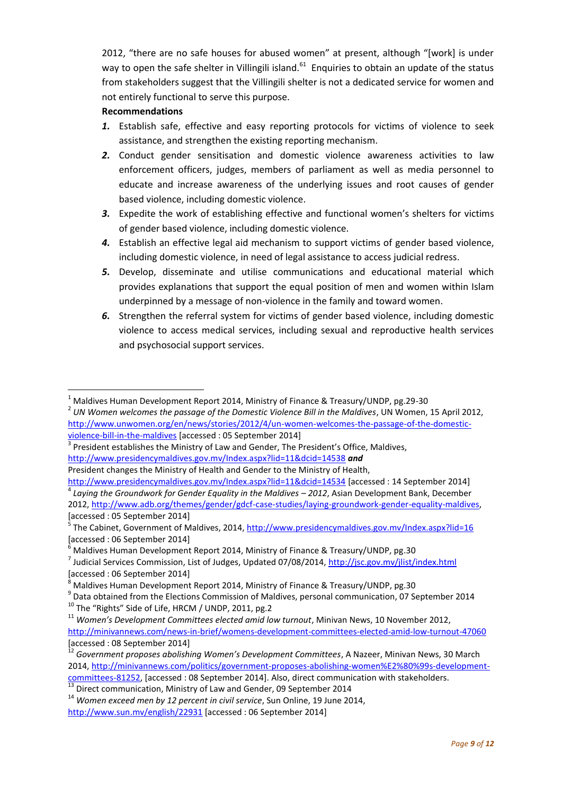2012, "there are no safe houses for abused women" at present, although "[work] is under way to open the safe shelter in Villingili island.<sup>61</sup> Enquiries to obtain an update of the status from stakeholders suggest that the Villingili shelter is not a dedicated service for women and not entirely functional to serve this purpose.

# **Recommendations**

**.** 

- *1.* Establish safe, effective and easy reporting protocols for victims of violence to seek assistance, and strengthen the existing reporting mechanism.
- *2.* Conduct gender sensitisation and domestic violence awareness activities to law enforcement officers, judges, members of parliament as well as media personnel to educate and increase awareness of the underlying issues and root causes of gender based violence, including domestic violence.
- *3.* Expedite the work of establishing effective and functional women's shelters for victims of gender based violence, including domestic violence.
- *4.* Establish an effective legal aid mechanism to support victims of gender based violence, including domestic violence, in need of legal assistance to access judicial redress.
- *5.* Develop, disseminate and utilise communications and educational material which provides explanations that support the equal position of men and women within Islam underpinned by a message of non-violence in the family and toward women.
- *6.* Strengthen the referral system for victims of gender based violence, including domestic violence to access medical services, including sexual and reproductive health services and psychosocial support services.

<sup>10</sup> The "Rights" Side of Life, HRCM / UNDP, 2011, pg.2

<sup>1</sup> Maldives Human Development Report 2014, Ministry of Finance & Treasury/UNDP, pg.29-30

<sup>2</sup> *UN Women welcomes the passage of the Domestic Violence Bill in the Maldives*, UN Women, 15 April 2012, [http://www.unwomen.org/en/news/stories/2012/4/un-women-welcomes-the-passage-of-the-domestic](http://www.unwomen.org/en/news/stories/2012/4/un-women-welcomes-the-passage-of-the-domestic-violence-bill-in-the-maldives)[violence-bill-in-the-maldives](http://www.unwomen.org/en/news/stories/2012/4/un-women-welcomes-the-passage-of-the-domestic-violence-bill-in-the-maldives) [accessed : 05 September 2014]

 $3$  President establishes the Ministry of Law and Gender, The President's Office, Maldives, <http://www.presidencymaldives.gov.mv/Index.aspx?lid=11&dcid=14538> *and*

President changes the Ministry of Health and Gender to the Ministry of Health,

<http://www.presidencymaldives.gov.mv/Index.aspx?lid=11&dcid=14534> [accessed : 14 September 2014] <sup>4</sup> Laying the Groundwork for Gender Equality in the Maldives – 2012, Asian Development Bank, December 2012, [http://www.adb.org/themes/gender/gdcf-case-studies/laying-groundwork-gender-equality-maldives,](http://www.adb.org/themes/gender/gdcf-case-studies/laying-groundwork-gender-equality-maldives) [accessed : 05 September 2014]

<sup>5</sup> The Cabinet, Government of Maldives, 2014[, http://www.presidencymaldives.gov.mv/Index.aspx?lid=16](http://www.presidencymaldives.gov.mv/Index.aspx?lid=16) [accessed : 06 September 2014]

 $6$  Maldives Human Development Report 2014, Ministry of Finance & Treasury/UNDP, pg.30

<sup>&</sup>lt;sup>7</sup> Judicial Services Commission, List of Judges, Updated 07/08/2014, <u>http://jsc.gov.mv/jlist/index.html</u> [accessed : 06 September 2014]

<sup>8</sup> Maldives Human Development Report 2014, Ministry of Finance & Treasury/UNDP, pg.30

 $^{9}$  Data obtained from the Elections Commission of Maldives, personal communication, 07 September 2014

<sup>11</sup> *Women's Development Committees elected amid low turnout*, Minivan News, 10 November 2012, <http://minivannews.com/news-in-brief/womens-development-committees-elected-amid-low-turnout-47060> [accessed : 08 September 2014]

<sup>12</sup> *Government proposes abolishing Women's Development Committees*, A Nazeer, Minivan News, 30 March 2014, [http://minivannews.com/politics/government-proposes-abolishing-women%E2%80%99s-development](http://minivannews.com/politics/government-proposes-abolishing-women%E2%80%99s-development-committees-81252)[committees-81252,](http://minivannews.com/politics/government-proposes-abolishing-women%E2%80%99s-development-committees-81252) [accessed : 08 September 2014]. Also, direct communication with stakeholders.

<sup>&</sup>lt;sup>13</sup> Direct communication, Ministry of Law and Gender, 09 September 2014

<sup>14</sup> *Women exceed men by 12 percent in civil service*, Sun Online, 19 June 2014, <http://www.sun.mv/english/22931> [accessed : 06 September 2014]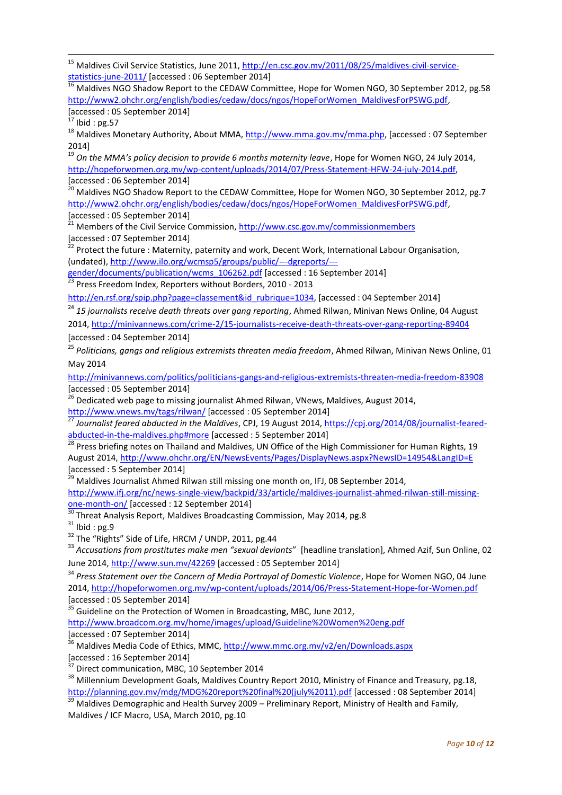<sup>15</sup> Maldives Civil Service Statistics, June 2011, [http://en.csc.gov.mv/2011/08/25/maldives-civil-service](http://en.csc.gov.mv/2011/08/25/maldives-civil-service-statistics-june-2011/)[statistics-june-2011/](http://en.csc.gov.mv/2011/08/25/maldives-civil-service-statistics-june-2011/) [accessed : 06 September 2014]

<sup>16</sup> Maldives NGO Shadow Report to the CEDAW Committee, Hope for Women NGO, 30 September 2012, pg.58 [http://www2.ohchr.org/english/bodies/cedaw/docs/ngos/HopeForWomen\\_MaldivesForPSWG.pdf,](http://www2.ohchr.org/english/bodies/cedaw/docs/ngos/HopeForWomen_MaldivesForPSWG.pdf) [accessed : 05 September 2014]

 $17$  Ibid: pg.57

**.** 

<sup>18</sup> Maldives Monetary Authority, About MMA, [http://www.mma.gov.mv/mma.php,](http://www.mma.gov.mv/mma.php) [accessed : 07 September 2014]

<sup>19</sup> *On the MMA's policy decision to provide 6 months maternity leave*, Hope for Women NGO, 24 July 2014, [http://hopeforwomen.org.mv/wp-content/uploads/2014/07/Press-Statement-HFW-24-july-2014.pdf,](http://hopeforwomen.org.mv/wp-content/uploads/2014/07/Press-Statement-HFW-24-july-2014.pdf) [accessed : 06 September 2014]

 $<sup>1</sup>$  Maldives NGO Shadow Report to the CEDAW Committee, Hope for Women NGO, 30 September 2012, pg.7</sup> [http://www2.ohchr.org/english/bodies/cedaw/docs/ngos/HopeForWomen\\_MaldivesForPSWG.pdf,](http://www2.ohchr.org/english/bodies/cedaw/docs/ngos/HopeForWomen_MaldivesForPSWG.pdf) [accessed : 05 September 2014]

21 Members of the Civil Service Commission,<http://www.csc.gov.mv/commissionmembers> [accessed : 07 September 2014]

<sup>22</sup> Protect the future : Maternity, paternity and work, Decent Work, International Labour Organisation, (undated), [http://www.ilo.org/wcmsp5/groups/public/---dgreports/---](http://www.ilo.org/wcmsp5/groups/public/---dgreports/---gender/documents/publication/wcms_106262.pdf)

[gender/documents/publication/wcms\\_106262.pdf](http://www.ilo.org/wcmsp5/groups/public/---dgreports/---gender/documents/publication/wcms_106262.pdf) [accessed : 16 September 2014]

<sup>23</sup> Press Freedom Index, Reporters without Borders, 2010 - 2013

[http://en.rsf.org/spip.php?page=classement&id\\_rubrique=1034,](http://en.rsf.org/spip.php?page=classement&id_rubrique=1034) [accessed : 04 September 2014]

<sup>24</sup> 15 journalists receive death threats over gang reporting, Ahmed Rilwan, Minivan News Online, 04 August 2014,<http://minivannews.com/crime-2/15-journalists-receive-death-threats-over-gang-reporting-89404>

[accessed : 04 September 2014]

<sup>25</sup> *Politicians, gangs and religious extremists threaten media freedom*, Ahmed Rilwan, Minivan News Online, 01 May 2014

<http://minivannews.com/politics/politicians-gangs-and-religious-extremists-threaten-media-freedom-83908> [accessed : 05 September 2014]

<sup>26</sup> Dedicated web page to missing journalist Ahmed Rilwan, VNews, Maldives, August 2014,

<http://www.vnews.mv/tags/rilwan/> [accessed : 05 September 2014]

<sup>27</sup> Journalist feared abducted in the Maldives, CPJ, 19 August 2014, <u>https://cpj.org/2014/08/journalist-feared-</u> [abducted-in-the-maldives.php#more](https://cpj.org/2014/08/journalist-feared-abducted-in-the-maldives.php#more) [accessed : 5 September 2014]

<sup>28</sup> Press briefing notes on Thailand and Maldives, UN Office of the High Commissioner for Human Rights, 19 August 2014[, http://www.ohchr.org/EN/NewsEvents/Pages/DisplayNews.aspx?NewsID=14954&LangID=E](http://www.ohchr.org/EN/NewsEvents/Pages/DisplayNews.aspx?NewsID=14954&LangID=E)

[accessed : 5 September 2014]

 $29$  Maldives Journalist Ahmed Rilwan still missing one month on, IFJ, 08 September 2014,

[http://www.ifj.org/nc/news-single-view/backpid/33/article/maldives-journalist-ahmed-rilwan-still-missing](http://www.ifj.org/nc/news-single-view/backpid/33/article/maldives-journalist-ahmed-rilwan-still-missing-one-month-on/)[one-month-on/](http://www.ifj.org/nc/news-single-view/backpid/33/article/maldives-journalist-ahmed-rilwan-still-missing-one-month-on/) [accessed : 12 September 2014]

 $30$  Threat Analysis Report, Maldives Broadcasting Commission, May 2014, pg.8

 $31$  Ibid: pg.9

<sup>32</sup> The "Rights" Side of Life, HRCM / UNDP, 2011, pg.44

<sup>33</sup> *Accusations from prostitutes make men "sexual deviants*" [headline translation], Ahmed Azif, Sun Online, 02 June 2014,<http://www.sun.mv/42269> [accessed : 05 September 2014]

<sup>34</sup> *Press Statement over the Concern of Media Portrayal of Domestic Violence*, Hope for Women NGO, 04 June 2014,<http://hopeforwomen.org.mv/wp-content/uploads/2014/06/Press-Statement-Hope-for-Women.pdf>  $[accessed : 05 September 2014]$ 

<sup>35</sup> Guideline on the Protection of Women in Broadcasting, MBC, June 2012,

<http://www.broadcom.org.mv/home/images/upload/Guideline%20Women%20eng.pdf> [accessed : 07 September 2014]

<sup>36</sup> Maldives Media Code of Ethics, MMC, http://www.mmc.org.mv/v2/en/Downloads.aspx [accessed : 16 September 2014]

<sup>37</sup> Direct communication, MBC, 10 September 2014

<sup>38</sup> Millennium Development Goals, Maldives Country Report 2010, Ministry of Finance and Treasury, pg.18, [http://planning.gov.mv/mdg/MDG%20report%20final%20\(july%2011\).pdf](http://planning.gov.mv/mdg/MDG%20report%20final%20(july%2011).pdf) [accessed : 08 September 2014]

Maldives Demographic and Health Survey 2009 – Preliminary Report, Ministry of Health and Family, Maldives / ICF Macro, USA, March 2010, pg.10